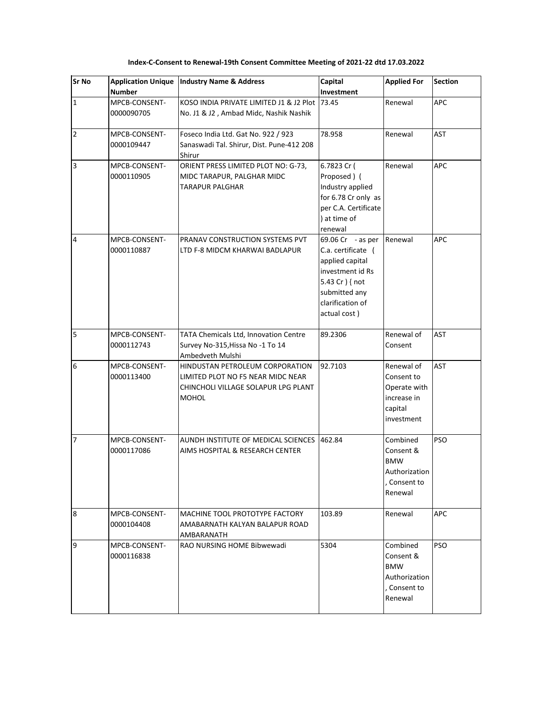| <b>Sr No</b>            | <b>Application Unique</b><br><b>Number</b> | <b>Industry Name &amp; Address</b>                                                                                          | Capital<br>Investment                                                                                                                                  | <b>Applied For</b>                                                               | <b>Section</b> |
|-------------------------|--------------------------------------------|-----------------------------------------------------------------------------------------------------------------------------|--------------------------------------------------------------------------------------------------------------------------------------------------------|----------------------------------------------------------------------------------|----------------|
| $\mathbf{1}$            | MPCB-CONSENT-<br>0000090705                | KOSO INDIA PRIVATE LIMITED J1 & J2 Plot 73.45<br>No. J1 & J2, Ambad Midc, Nashik Nashik                                     |                                                                                                                                                        | Renewal                                                                          | APC            |
| $\overline{2}$          | MPCB-CONSENT-<br>0000109447                | Foseco India Ltd. Gat No. 922 / 923<br>Sanaswadi Tal. Shirur, Dist. Pune-412 208<br>Shirur                                  | 78.958                                                                                                                                                 | Renewal                                                                          | <b>AST</b>     |
| $\overline{\mathbf{3}}$ | MPCB-CONSENT-<br>0000110905                | ORIENT PRESS LIMITED PLOT NO: G-73,<br>MIDC TARAPUR, PALGHAR MIDC<br>TARAPUR PALGHAR                                        | 6.7823 Cr (<br>Proposed) (<br>Industry applied<br>for 6.78 Cr only as<br>per C.A. Certificate<br>) at time of<br>renewal                               | Renewal                                                                          | <b>APC</b>     |
| 4                       | MPCB-CONSENT-<br>0000110887                | PRANAV CONSTRUCTION SYSTEMS PVT<br>LTD F-8 MIDCM KHARWAI BADLAPUR                                                           | 69.06 Cr - as per<br>C.a. certificate (<br>applied capital<br>investment id Rs<br>5.43 Cr ) { not<br>submitted any<br>clarification of<br>actual cost) | Renewal                                                                          | APC            |
| 5                       | MPCB-CONSENT-<br>0000112743                | TATA Chemicals Ltd, Innovation Centre<br>Survey No-315, Hissa No -1 To 14<br>Ambedveth Mulshi                               | 89.2306                                                                                                                                                | Renewal of<br>Consent                                                            | AST            |
| 6                       | MPCB-CONSENT-<br>0000113400                | HINDUSTAN PETROLEUM CORPORATION<br>LIMITED PLOT NO F5 NEAR MIDC NEAR<br>CHINCHOLI VILLAGE SOLAPUR LPG PLANT<br><b>MOHOL</b> | 92.7103                                                                                                                                                | Renewal of<br>Consent to<br>Operate with<br>increase in<br>capital<br>investment | <b>AST</b>     |
| $\overline{7}$          | MPCB-CONSENT-<br>0000117086                | AUNDH INSTITUTE OF MEDICAL SCIENCES<br>AIMS HOSPITAL & RESEARCH CENTER                                                      | 462.84                                                                                                                                                 | Combined<br>Consent &<br><b>BMW</b><br>Authorization<br>, Consent to<br>Renewal  | PSO            |
| 8                       | MPCB-CONSENT-<br>0000104408                | MACHINE TOOL PROTOTYPE FACTORY<br>AMABARNATH KALYAN BALAPUR ROAD<br>AMBARANATH                                              | 103.89                                                                                                                                                 | Renewal                                                                          | APC            |
| 9                       | MPCB-CONSENT-<br>0000116838                | RAO NURSING HOME Bibwewadi                                                                                                  | 5304                                                                                                                                                   | Combined<br>Consent &<br><b>BMW</b><br>Authorization<br>, Consent to<br>Renewal  | <b>PSO</b>     |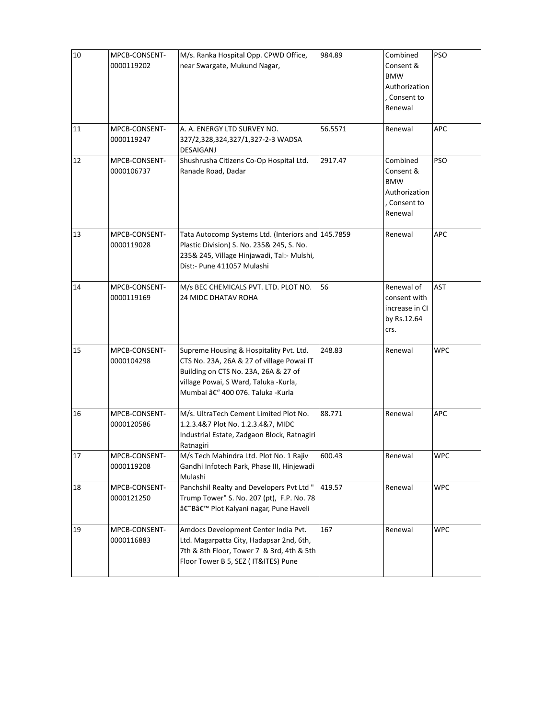| 10     | MPCB-CONSENT-<br>0000119202 | M/s. Ranka Hospital Opp. CPWD Office,<br>near Swargate, Mukund Nagar,                                                                                                                                    | 984.89  | Combined<br>Consent &<br><b>BMW</b><br>Authorization<br>. Consent to<br>Renewal | <b>PSO</b> |
|--------|-----------------------------|----------------------------------------------------------------------------------------------------------------------------------------------------------------------------------------------------------|---------|---------------------------------------------------------------------------------|------------|
| 11     | MPCB-CONSENT-<br>0000119247 | A. A. ENERGY LTD SURVEY NO.<br>327/2,328,324,327/1,327-2-3 WADSA<br>DESAIGANJ                                                                                                                            | 56.5571 | Renewal                                                                         | APC        |
| 12     | MPCB-CONSENT-<br>0000106737 | Shushrusha Citizens Co-Op Hospital Ltd.<br>Ranade Road, Dadar                                                                                                                                            | 2917.47 | Combined<br>Consent &<br><b>BMW</b><br>Authorization<br>, Consent to<br>Renewal | <b>PSO</b> |
| 13     | MPCB-CONSENT-<br>0000119028 | Tata Autocomp Systems Ltd. (Interiors and 145.7859<br>Plastic Division) S. No. 235& 245, S. No.<br>235& 245, Village Hinjawadi, Tal:- Mulshi,<br>Dist:- Pune 411057 Mulashi                              |         | Renewal                                                                         | APC        |
| 14     | MPCB-CONSENT-<br>0000119169 | M/s BEC CHEMICALS PVT. LTD. PLOT NO.<br><b>24 MIDC DHATAV ROHA</b>                                                                                                                                       | 56      | Renewal of<br>consent with<br>increase in CI<br>by Rs.12.64<br>crs.             | <b>AST</b> |
| 15     | MPCB-CONSENT-<br>0000104298 | Supreme Housing & Hospitality Pvt. Ltd.<br>CTS No. 23A, 26A & 27 of village Powai IT<br>Building on CTS No. 23A, 26A & 27 of<br>village Powai, S Ward, Taluka -Kurla,<br>Mumbai – 400 076. Taluka -Kurla | 248.83  | Renewal                                                                         | <b>WPC</b> |
| 16     | MPCB-CONSENT-<br>0000120586 | M/s. UltraTech Cement Limited Plot No.<br>1.2.3.4&7 Plot No. 1.2.3.4&7, MIDC<br>Industrial Estate, Zadgaon Block, Ratnagiri<br>Ratnagiri                                                                 | 88.771  | Renewal                                                                         | APC        |
| $17\,$ | MPCB-CONSENT-<br>0000119208 | M/s Tech Mahindra Ltd. Plot No. 1 Rajiv<br>Gandhi Infotech Park, Phase III, Hinjewadi<br>Mulashi                                                                                                         | 600.43  | Renewal                                                                         | <b>WPC</b> |
| 18     | MPCB-CONSENT-<br>0000121250 | Panchshil Realty and Developers Pvt Ltd "<br>Trump Tower" S. No. 207 (pt), F.P. No. 78<br>â€~B' Plot Kalyani nagar, Pune Haveli                                                                          | 419.57  | Renewal                                                                         | <b>WPC</b> |
| 19     | MPCB-CONSENT-<br>0000116883 | Amdocs Development Center India Pvt.<br>Ltd. Magarpatta City, Hadapsar 2nd, 6th,<br>7th & 8th Floor, Tower 7 & 3rd, 4th & 5th<br>Floor Tower B 5, SEZ ( IT&ITES) Pune                                    | 167     | Renewal                                                                         | <b>WPC</b> |